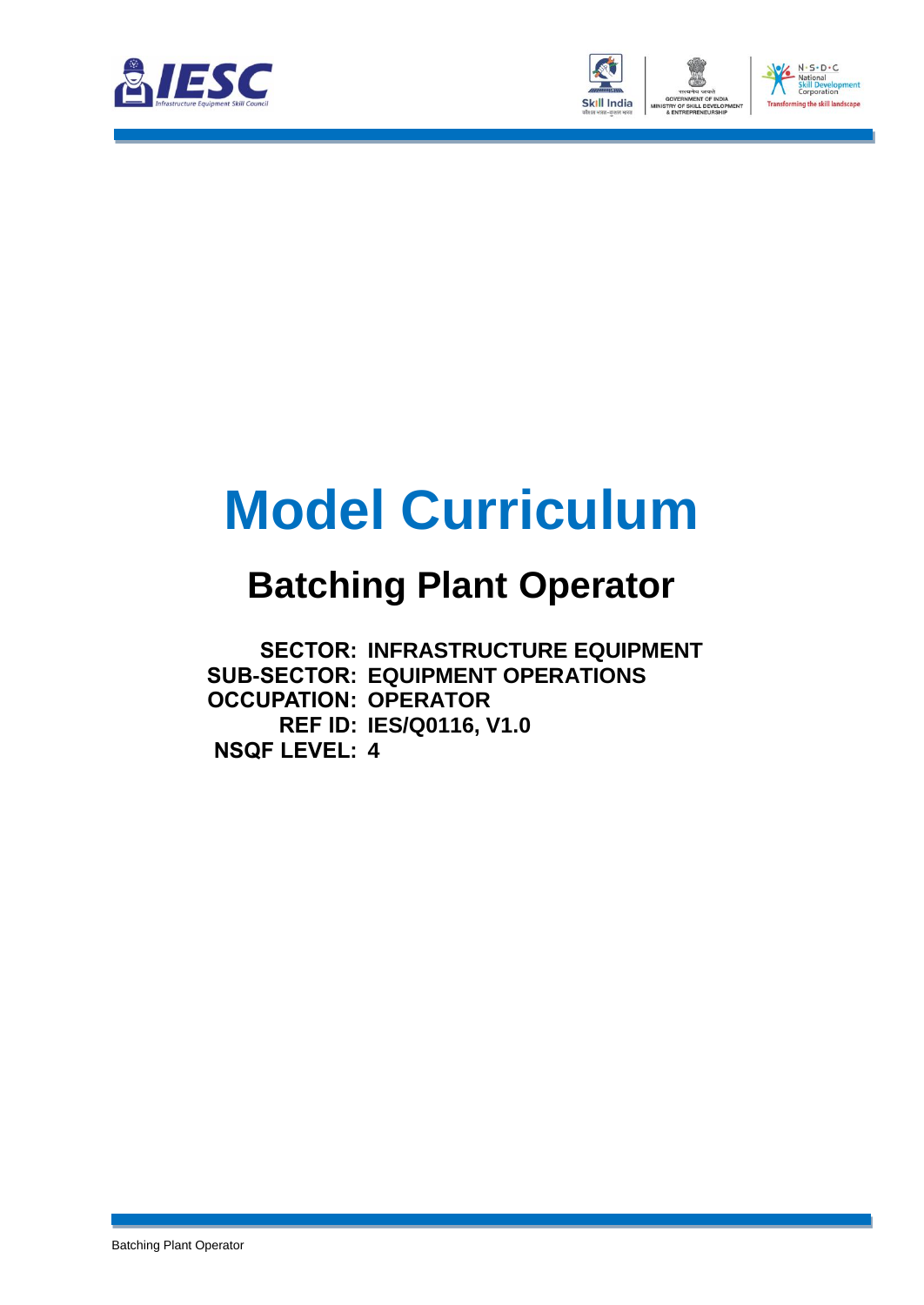



# **Model Curriculum**

### **Batching Plant Operator**

**SECTOR: INFRASTRUCTURE EQUIPMENT SUB-SECTOR: EQUIPMENT OPERATIONS OCCUPATION: OPERATOR REF ID: IES/Q0116, V1.0 NSQF LEVEL: 4**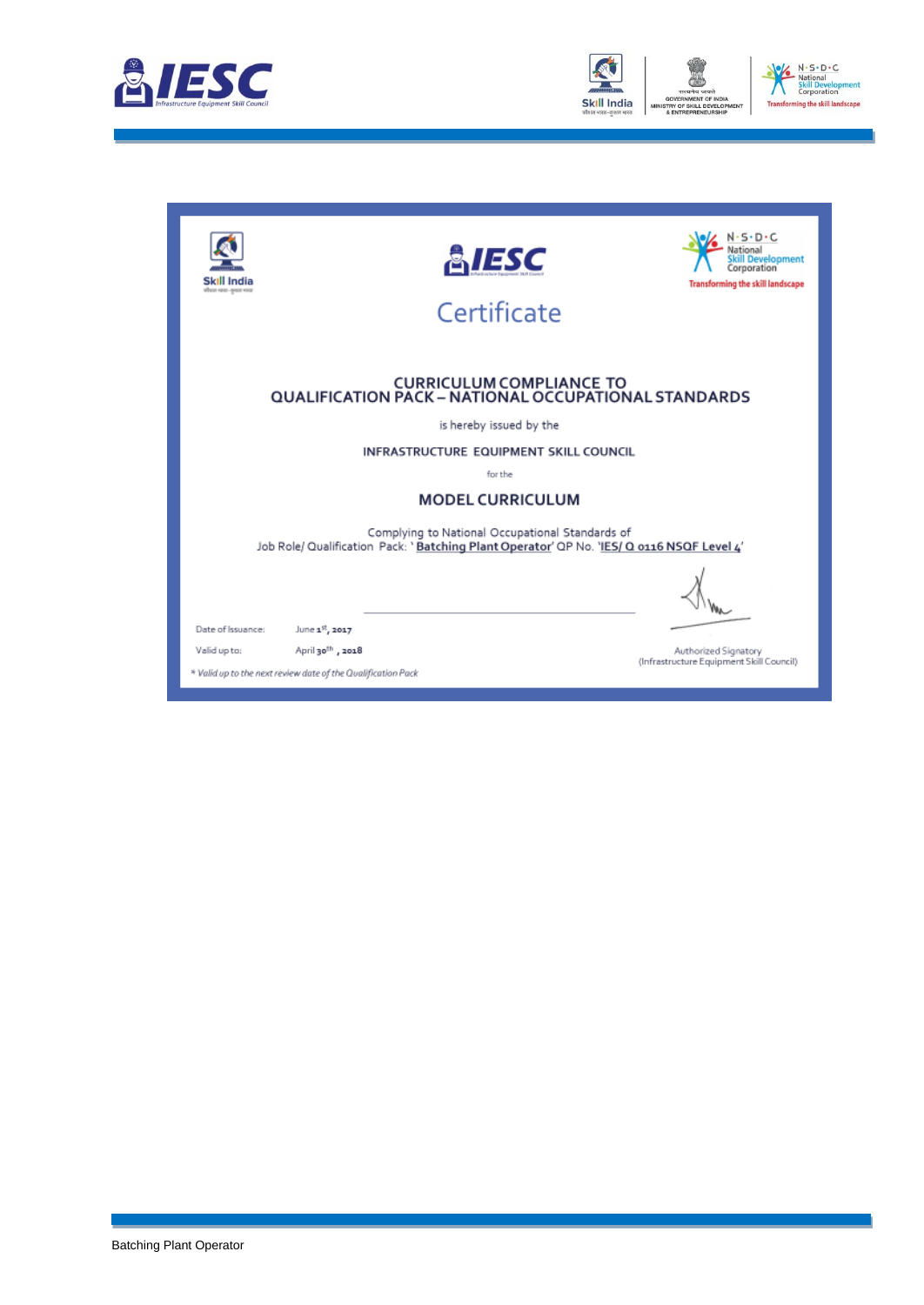



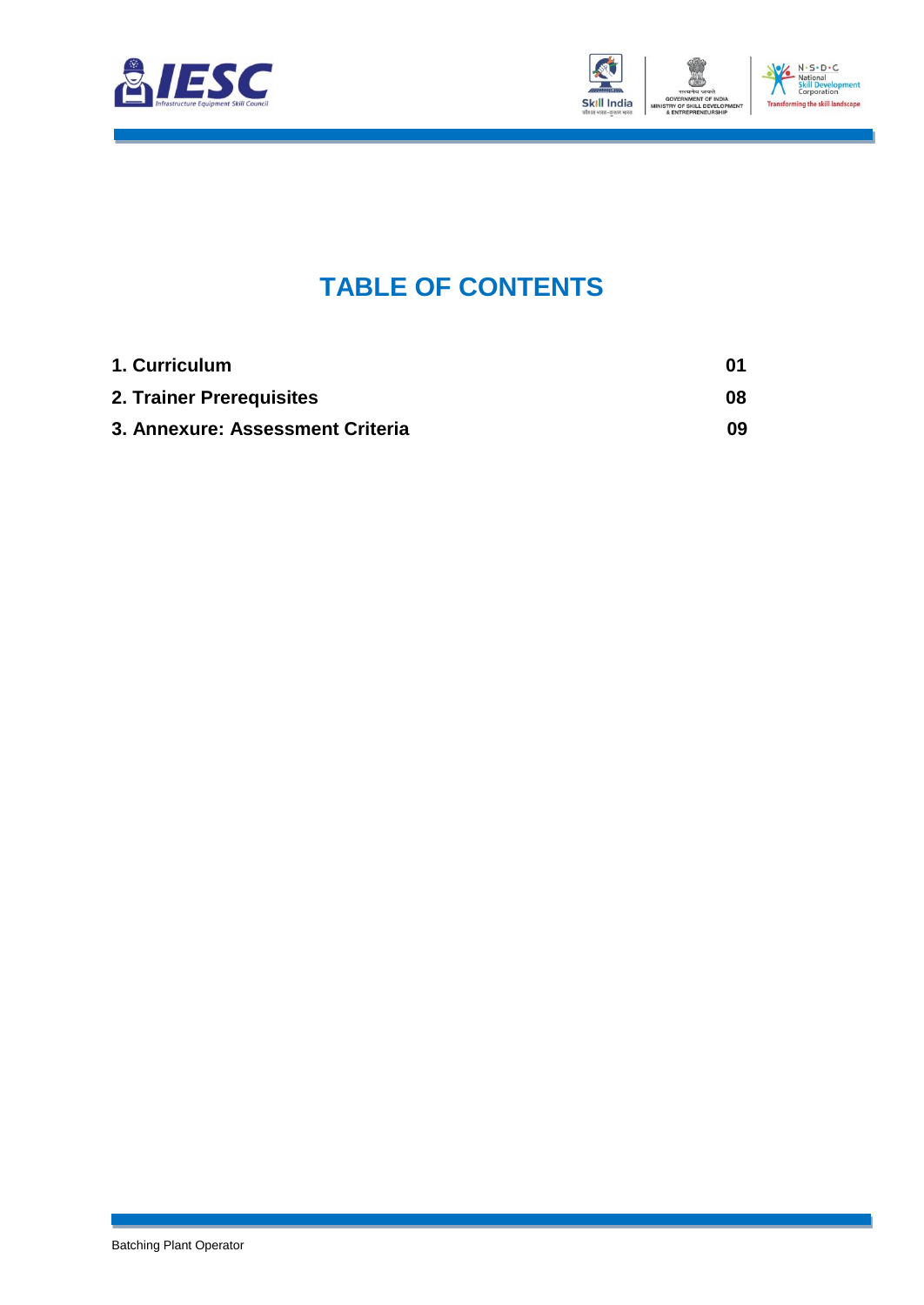



### **TABLE OF CONTENTS**

<span id="page-2-2"></span><span id="page-2-1"></span><span id="page-2-0"></span>

| 1. Curriculum                    | 01 |
|----------------------------------|----|
| 2. Trainer Prerequisites         | 08 |
| 3. Annexure: Assessment Criteria | 09 |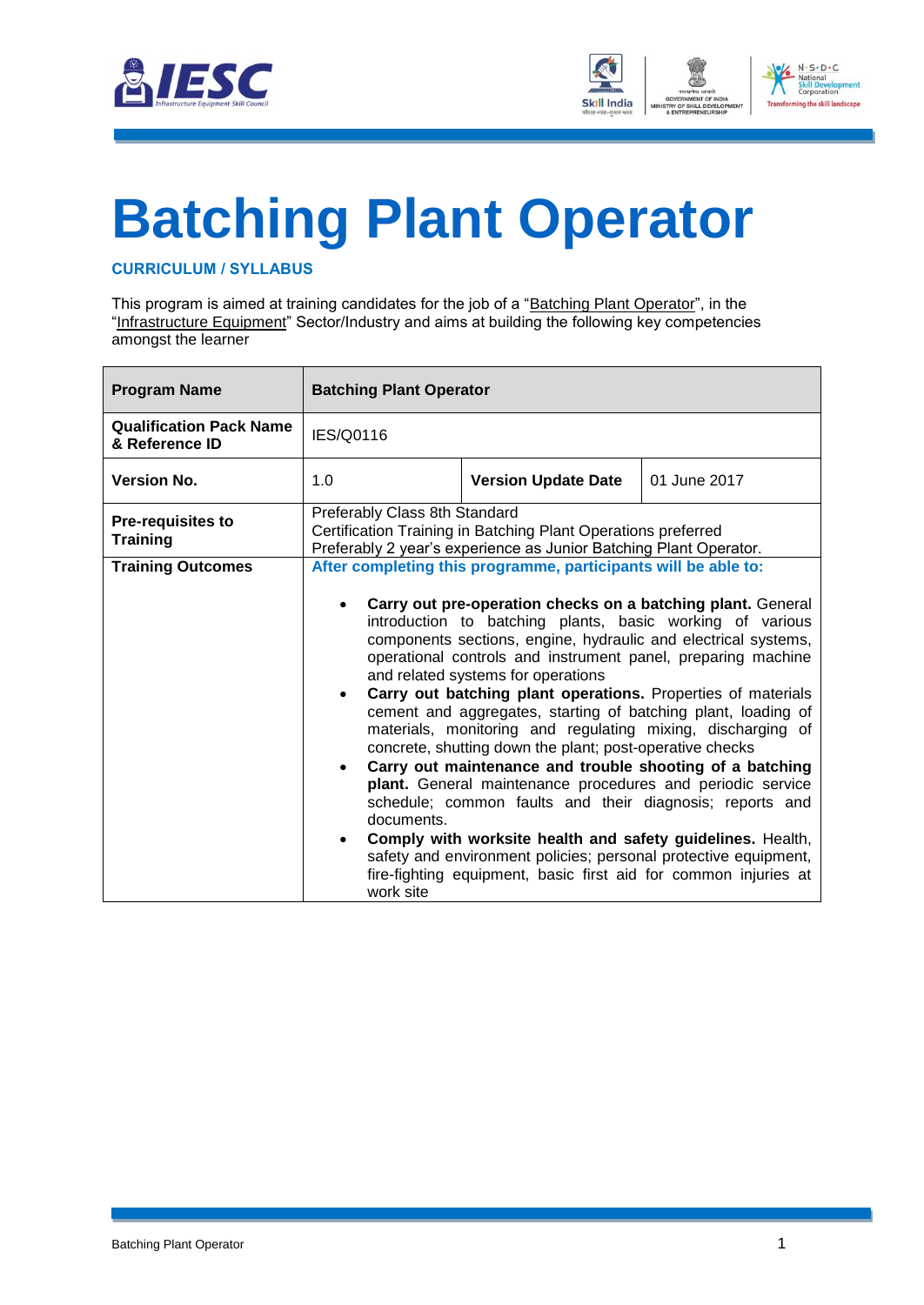



# <span id="page-3-0"></span>**[Batching Plant Operator](#page-2-0)**

#### **CURRICULUM / SYLLABUS**

This program is aimed at training candidates for the job of a "Batching Plant Operator", in the "Infrastructure Equipment" Sector/Industry and aims at building the following key competencies amongst the learner

| <b>Program Name</b>                              | <b>Batching Plant Operator</b>                                                                                                                                                                                                                                                                                                                                                                                                                                                                                                                                                                                                 |  |  |  |  |
|--------------------------------------------------|--------------------------------------------------------------------------------------------------------------------------------------------------------------------------------------------------------------------------------------------------------------------------------------------------------------------------------------------------------------------------------------------------------------------------------------------------------------------------------------------------------------------------------------------------------------------------------------------------------------------------------|--|--|--|--|
| <b>Qualification Pack Name</b><br>& Reference ID | IES/Q0116                                                                                                                                                                                                                                                                                                                                                                                                                                                                                                                                                                                                                      |  |  |  |  |
| <b>Version No.</b>                               | 1.0<br><b>Version Update Date</b><br>01 June 2017                                                                                                                                                                                                                                                                                                                                                                                                                                                                                                                                                                              |  |  |  |  |
| <b>Pre-requisites to</b><br><b>Training</b>      | Preferably Class 8th Standard<br>Certification Training in Batching Plant Operations preferred<br>Preferably 2 year's experience as Junior Batching Plant Operator.                                                                                                                                                                                                                                                                                                                                                                                                                                                            |  |  |  |  |
| <b>Training Outcomes</b>                         | After completing this programme, participants will be able to:<br>Carry out pre-operation checks on a batching plant. General<br>introduction to batching plants, basic working of various<br>components sections, engine, hydraulic and electrical systems,<br>operational controls and instrument panel, preparing machine<br>and related systems for operations<br>Carry out batching plant operations. Properties of materials<br>cement and aggregates, starting of batching plant, loading of<br>materials, monitoring and regulating mixing, discharging of<br>concrete, shutting down the plant; post-operative checks |  |  |  |  |
|                                                  | Carry out maintenance and trouble shooting of a batching<br>plant. General maintenance procedures and periodic service<br>schedule; common faults and their diagnosis; reports and<br>documents.<br>Comply with worksite health and safety guidelines. Health,<br>safety and environment policies; personal protective equipment,<br>fire-fighting equipment, basic first aid for common injuries at<br>work site                                                                                                                                                                                                              |  |  |  |  |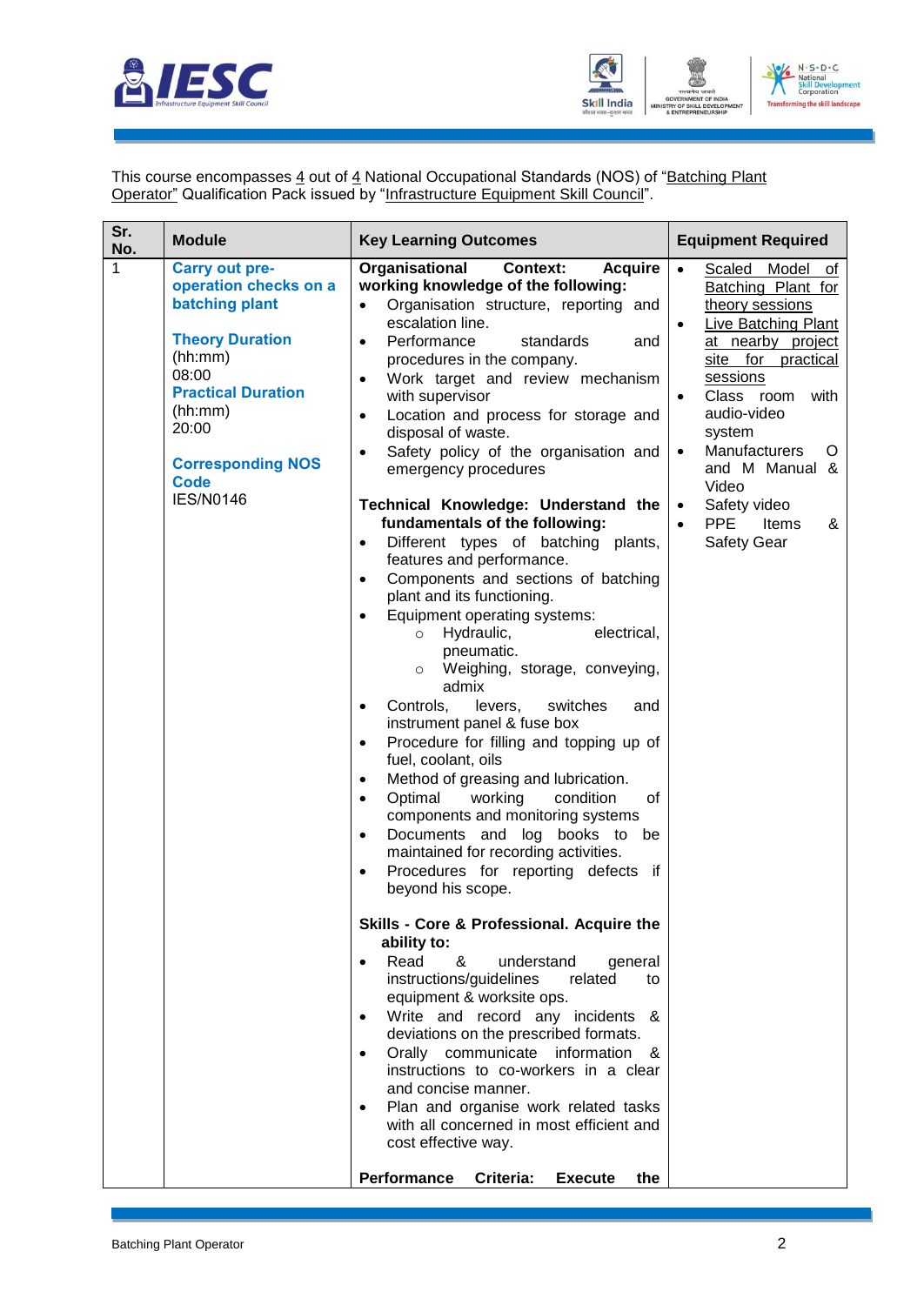



This course encompasses 4 out of 4 National Occupational Standards (NOS) of "Batching Plant **Operator**" Qualification Pack issued by "Infrastructure Equipment Skill Council".

| Sr.<br>No. | <b>Module</b>                                                                                                                                                                                                                  | <b>Key Learning Outcomes</b>                                                                                                                                                                                                                                                                                                                                                                                                                                                                                                                                                                                                                                                                                                                                                                                                                                                                                                                                                                                                                                                                                                                                                                                                                                                                                                                                                                                                                                                                                                                                                                                                                                                                                                                                                                                                                                                                                                                                     | <b>Equipment Required</b>                                                                                                                                                                                                                                                                                                                                                              |
|------------|--------------------------------------------------------------------------------------------------------------------------------------------------------------------------------------------------------------------------------|------------------------------------------------------------------------------------------------------------------------------------------------------------------------------------------------------------------------------------------------------------------------------------------------------------------------------------------------------------------------------------------------------------------------------------------------------------------------------------------------------------------------------------------------------------------------------------------------------------------------------------------------------------------------------------------------------------------------------------------------------------------------------------------------------------------------------------------------------------------------------------------------------------------------------------------------------------------------------------------------------------------------------------------------------------------------------------------------------------------------------------------------------------------------------------------------------------------------------------------------------------------------------------------------------------------------------------------------------------------------------------------------------------------------------------------------------------------------------------------------------------------------------------------------------------------------------------------------------------------------------------------------------------------------------------------------------------------------------------------------------------------------------------------------------------------------------------------------------------------------------------------------------------------------------------------------------------------|----------------------------------------------------------------------------------------------------------------------------------------------------------------------------------------------------------------------------------------------------------------------------------------------------------------------------------------------------------------------------------------|
| 1          | <b>Carry out pre-</b><br>operation checks on a<br>batching plant<br><b>Theory Duration</b><br>(hh:mm)<br>08:00<br><b>Practical Duration</b><br>(hh:mm)<br>20:00<br><b>Corresponding NOS</b><br><b>Code</b><br><b>IES/N0146</b> | Organisational<br><b>Context:</b><br><b>Acquire</b><br>working knowledge of the following:<br>Organisation structure, reporting and<br>$\bullet$<br>escalation line.<br>Performance<br>standards<br>$\bullet$<br>and<br>procedures in the company.<br>Work target and review mechanism<br>$\bullet$<br>with supervisor<br>Location and process for storage and<br>$\bullet$<br>disposal of waste.<br>Safety policy of the organisation and<br>$\bullet$<br>emergency procedures<br>Technical Knowledge: Understand the<br>fundamentals of the following:<br>Different types of batching plants,<br>$\bullet$<br>features and performance.<br>Components and sections of batching<br>$\bullet$<br>plant and its functioning.<br>Equipment operating systems:<br>$\bullet$<br>Hydraulic,<br>electrical,<br>$\circ$<br>pneumatic.<br>Weighing, storage, conveying,<br>$\circ$<br>admix<br>switches<br>Controls,<br>levers,<br>and<br>$\bullet$<br>instrument panel & fuse box<br>Procedure for filling and topping up of<br>$\bullet$<br>fuel, coolant, oils<br>Method of greasing and lubrication.<br>$\bullet$<br>Optimal<br>working<br>condition<br>οf<br>$\bullet$<br>components and monitoring systems<br>Documents and log<br>books to<br>be<br>$\bullet$<br>maintained for recording activities.<br>Procedures for reporting defects if<br>$\bullet$<br>beyond his scope.<br>Skills - Core & Professional. Acquire the<br>ability to:<br>Read<br>&<br>understand<br>general<br>$\bullet$<br>instructions/guidelines<br>related<br>to<br>equipment & worksite ops.<br>Write and record any incidents<br>&<br>$\bullet$<br>deviations on the prescribed formats.<br>Orally communicate information &<br>$\bullet$<br>instructions to co-workers in a clear<br>and concise manner.<br>Plan and organise work related tasks<br>$\bullet$<br>with all concerned in most efficient and<br>cost effective way.<br>Performance<br>Criteria:<br><b>Execute</b><br>the | $\bullet$<br>Scaled Model of<br>Batching Plant for<br>theory sessions<br>Live Batching Plant<br>$\bullet$<br>at nearby project<br>site for practical<br>sessions<br>Class room<br>with<br>$\bullet$<br>audio-video<br>system<br>Manufacturers<br>O<br>$\bullet$<br>and M Manual &<br>Video<br>Safety video<br>$\bullet$<br><b>PPE</b><br>Items<br>&<br>$\bullet$<br><b>Safety Gear</b> |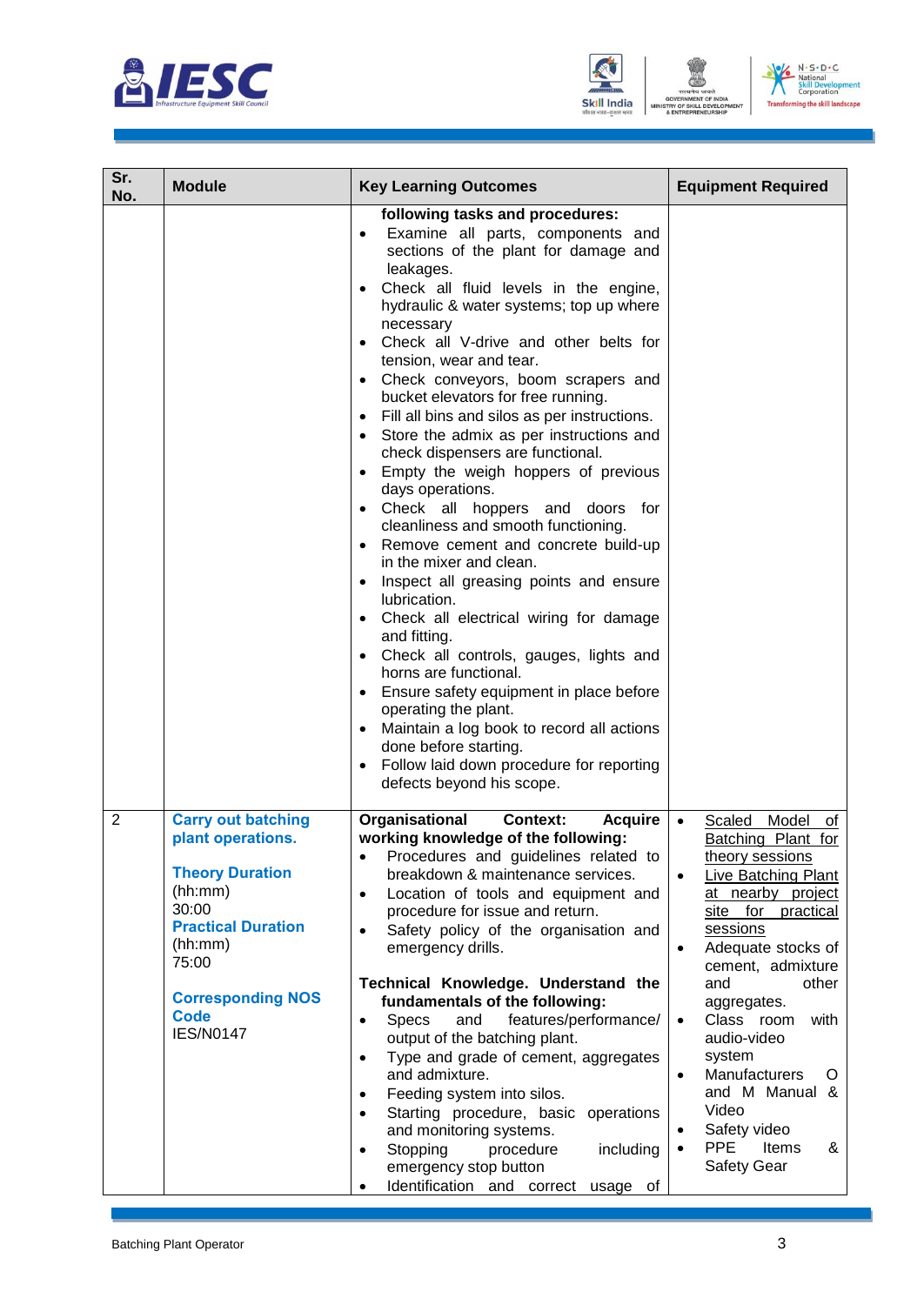





| Sr.<br>No.     | <b>Module</b>                                                                                                                                                                                                | <b>Key Learning Outcomes</b>                                                                                                                                                                                                                                                                                                                                                                                                                                                                                                                                                                                                                                                                                                                                                                                                                                                                                                                                                                                                                                                                                                           | <b>Equipment Required</b>                                                                                                                                                                                                                                                                                                                                                                                                                                              |
|----------------|--------------------------------------------------------------------------------------------------------------------------------------------------------------------------------------------------------------|----------------------------------------------------------------------------------------------------------------------------------------------------------------------------------------------------------------------------------------------------------------------------------------------------------------------------------------------------------------------------------------------------------------------------------------------------------------------------------------------------------------------------------------------------------------------------------------------------------------------------------------------------------------------------------------------------------------------------------------------------------------------------------------------------------------------------------------------------------------------------------------------------------------------------------------------------------------------------------------------------------------------------------------------------------------------------------------------------------------------------------------|------------------------------------------------------------------------------------------------------------------------------------------------------------------------------------------------------------------------------------------------------------------------------------------------------------------------------------------------------------------------------------------------------------------------------------------------------------------------|
|                |                                                                                                                                                                                                              | following tasks and procedures:<br>Examine all parts, components and<br>$\bullet$<br>sections of the plant for damage and<br>leakages.<br>Check all fluid levels in the engine,<br>hydraulic & water systems; top up where<br>necessary<br>Check all V-drive and other belts for<br>tension, wear and tear.<br>Check conveyors, boom scrapers and<br>bucket elevators for free running.<br>Fill all bins and silos as per instructions.<br>Store the admix as per instructions and<br>check dispensers are functional.<br>Empty the weigh hoppers of previous<br>days operations.<br>Check all hoppers and doors for<br>cleanliness and smooth functioning.<br>Remove cement and concrete build-up<br>in the mixer and clean.<br>Inspect all greasing points and ensure<br>lubrication.<br>Check all electrical wiring for damage<br>and fitting.<br>Check all controls, gauges, lights and<br>horns are functional.<br>Ensure safety equipment in place before<br>operating the plant.<br>Maintain a log book to record all actions<br>done before starting.<br>Follow laid down procedure for reporting<br>defects beyond his scope. |                                                                                                                                                                                                                                                                                                                                                                                                                                                                        |
| $\overline{2}$ | <b>Carry out batching</b><br>plant operations.<br><b>Theory Duration</b><br>(hh:mm)<br>30:00<br><b>Practical Duration</b><br>(hh:mm)<br>75:00<br><b>Corresponding NOS</b><br><b>Code</b><br><b>IES/N0147</b> | Organisational<br><b>Context:</b><br><b>Acquire</b><br>working knowledge of the following:<br>Procedures and guidelines related to<br>breakdown & maintenance services.<br>Location of tools and equipment and<br>$\bullet$<br>procedure for issue and return.<br>Safety policy of the organisation and<br>$\bullet$<br>emergency drills.<br>Technical Knowledge. Understand the<br>fundamentals of the following:<br>features/performance/<br><b>Specs</b><br>and<br>$\bullet$<br>output of the batching plant.<br>Type and grade of cement, aggregates<br>$\bullet$<br>and admixture.<br>Feeding system into silos.<br>$\bullet$<br>Starting procedure, basic<br>operations<br>$\bullet$<br>and monitoring systems.<br>Stopping<br>procedure<br>including<br>$\bullet$<br>emergency stop button<br>Identification and correct<br>usage of<br>٠                                                                                                                                                                                                                                                                                       | Model<br>Scaled<br>of<br>Batching Plant for<br>theory sessions<br>Live Batching Plant<br>$\bullet$<br>at nearby project<br>site for practical<br>sessions<br>Adequate stocks of<br>$\bullet$<br>cement, admixture<br>and<br>other<br>aggregates.<br>Class room<br>with<br>$\bullet$<br>audio-video<br>system<br>Manufacturers<br>O<br>$\bullet$<br>and M Manual &<br>Video<br>Safety video<br>$\bullet$<br><b>PPE</b><br>Items<br>&<br>$\bullet$<br><b>Safety Gear</b> |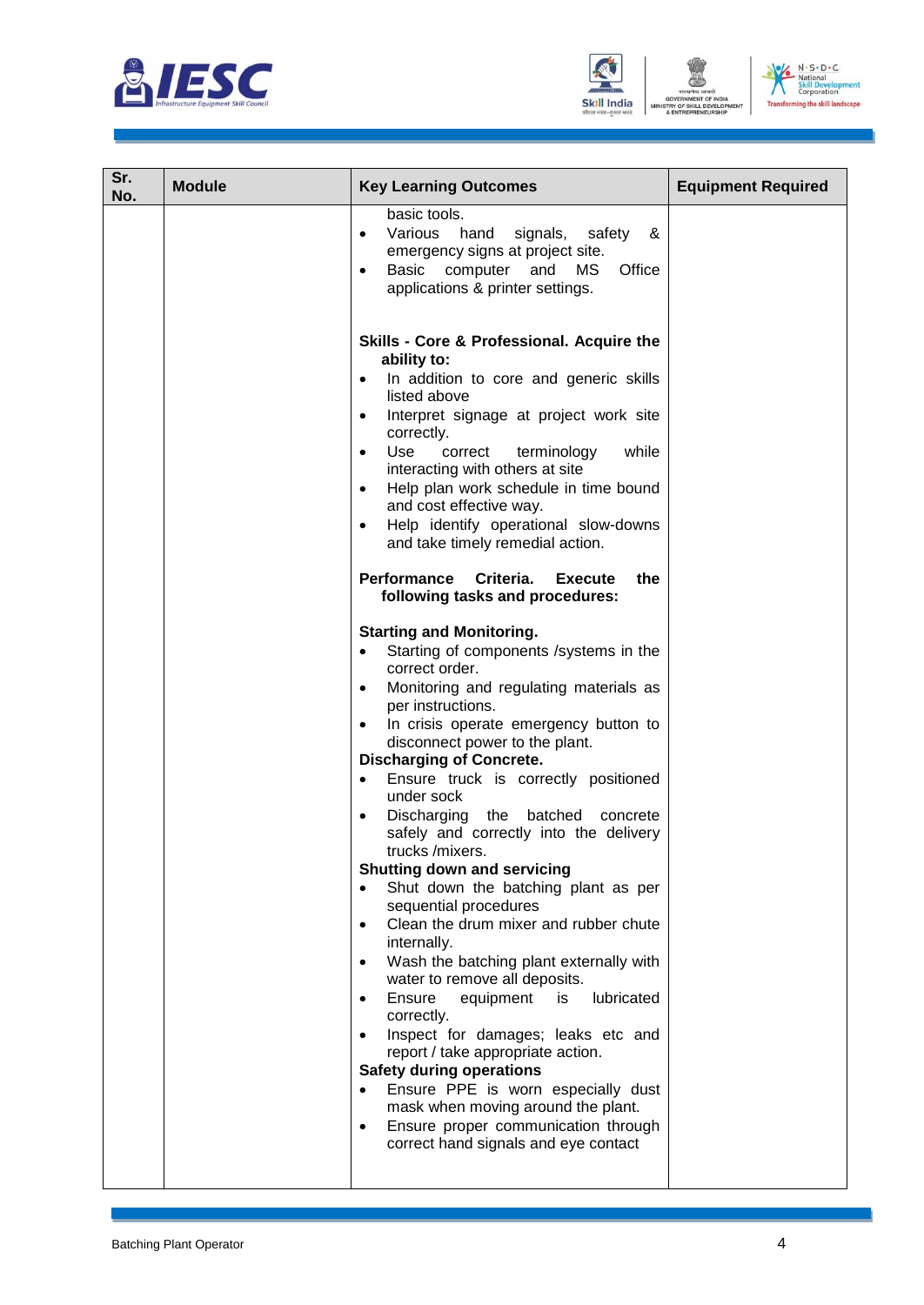





| Sr.<br>No. | <b>Module</b> | <b>Key Learning Outcomes</b>                                                                                                                                                                                                                                                                                                                                                                                                                                                                                                                                                                                                                                       | <b>Equipment Required</b> |
|------------|---------------|--------------------------------------------------------------------------------------------------------------------------------------------------------------------------------------------------------------------------------------------------------------------------------------------------------------------------------------------------------------------------------------------------------------------------------------------------------------------------------------------------------------------------------------------------------------------------------------------------------------------------------------------------------------------|---------------------------|
|            |               | basic tools.<br>Various<br>hand<br>signals,<br>safety<br>&<br>$\bullet$<br>emergency signs at project site.<br>Basic computer<br>and<br>MS.<br>Office<br>$\bullet$<br>applications & printer settings.                                                                                                                                                                                                                                                                                                                                                                                                                                                             |                           |
|            |               | Skills - Core & Professional. Acquire the<br>ability to:<br>In addition to core and generic skills<br>$\bullet$<br>listed above<br>Interpret signage at project work site<br>$\bullet$<br>correctly.<br>Use<br>while<br>correct<br>terminology<br>$\bullet$<br>interacting with others at site<br>Help plan work schedule in time bound<br>$\bullet$<br>and cost effective way.<br>Help identify operational slow-downs<br>$\bullet$<br>and take timely remedial action.<br>Performance Criteria.<br>Execute<br>the<br>following tasks and procedures:<br><b>Starting and Monitoring.</b><br>Starting of components /systems in the<br>$\bullet$<br>correct order. |                           |
|            |               | Monitoring and regulating materials as<br>$\bullet$<br>per instructions.<br>In crisis operate emergency button to<br>$\bullet$<br>disconnect power to the plant.<br><b>Discharging of Concrete.</b><br>Ensure truck is correctly positioned<br>$\bullet$<br>under sock<br>Discharging the batched<br>concrete<br>$\bullet$<br>safely and correctly into the delivery<br>trucks /mixers.<br><b>Shutting down and servicing</b>                                                                                                                                                                                                                                      |                           |
|            |               | Shut down the batching plant as per<br>$\bullet$<br>sequential procedures<br>Clean the drum mixer and rubber chute<br>$\bullet$<br>internally.<br>Wash the batching plant externally with<br>$\bullet$<br>water to remove all deposits.<br>Ensure<br>equipment<br>lubricated<br>is<br>correctly.<br>Inspect for damages; leaks etc and<br>report / take appropriate action.<br><b>Safety during operations</b><br>Ensure PPE is worn especially dust<br>$\bullet$<br>mask when moving around the plant.<br>Ensure proper communication through<br>$\bullet$<br>correct hand signals and eye contact                                                                |                           |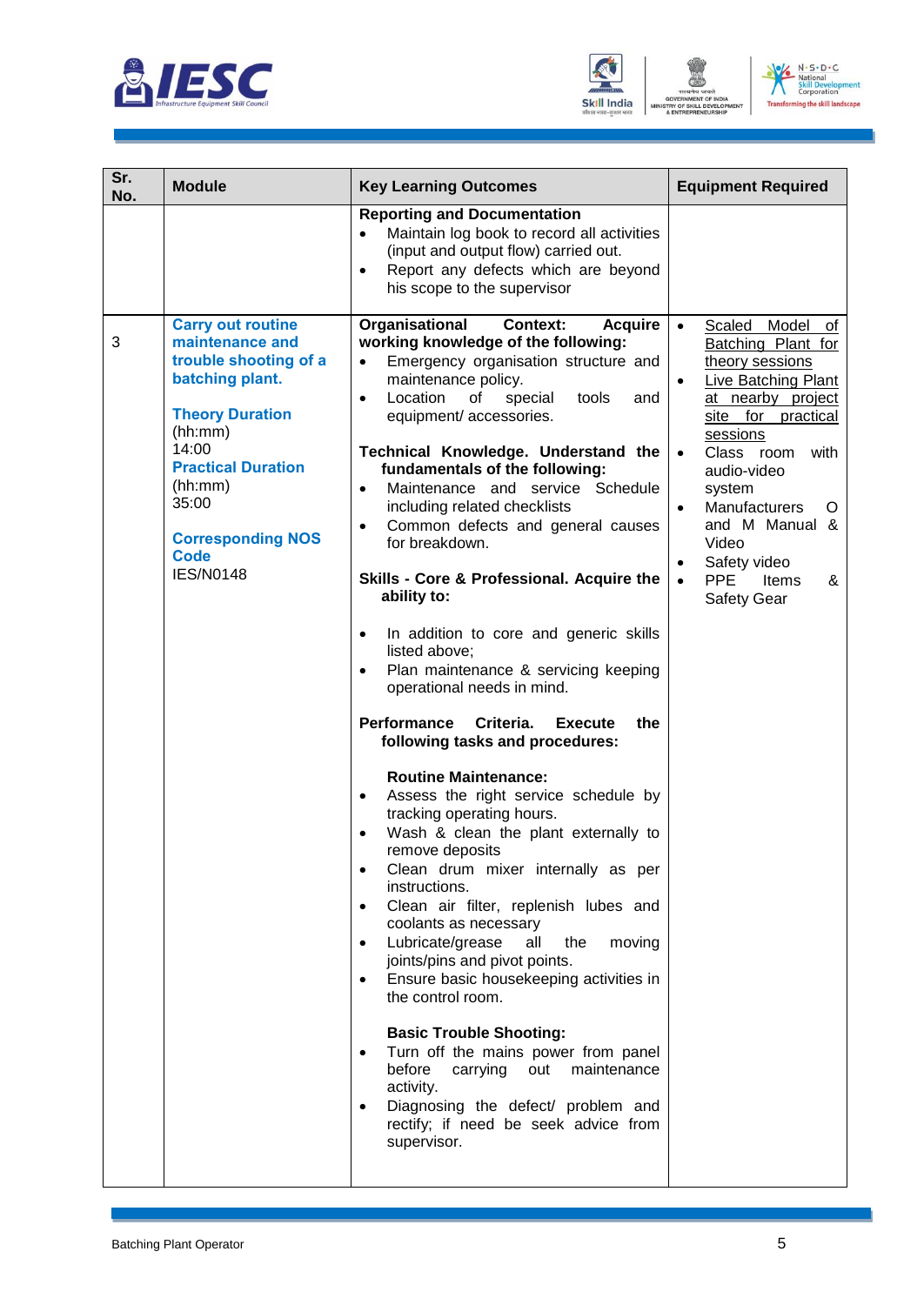





| Sr.<br>No. | <b>Module</b>                                                                                                                                                                                                                                         | <b>Key Learning Outcomes</b>                                                                                                                                                                                                                                                                                                                                                                                                                                                                                                                                                                                                                                                                                                                                                                                                                                                                                                                                                                                                                                                                                                                                                                                                                                                                                                                                                                                                                                                                                                          | <b>Equipment Required</b>                                                                                                                                                                                                                                                                                                                                                                                  |
|------------|-------------------------------------------------------------------------------------------------------------------------------------------------------------------------------------------------------------------------------------------------------|---------------------------------------------------------------------------------------------------------------------------------------------------------------------------------------------------------------------------------------------------------------------------------------------------------------------------------------------------------------------------------------------------------------------------------------------------------------------------------------------------------------------------------------------------------------------------------------------------------------------------------------------------------------------------------------------------------------------------------------------------------------------------------------------------------------------------------------------------------------------------------------------------------------------------------------------------------------------------------------------------------------------------------------------------------------------------------------------------------------------------------------------------------------------------------------------------------------------------------------------------------------------------------------------------------------------------------------------------------------------------------------------------------------------------------------------------------------------------------------------------------------------------------------|------------------------------------------------------------------------------------------------------------------------------------------------------------------------------------------------------------------------------------------------------------------------------------------------------------------------------------------------------------------------------------------------------------|
|            |                                                                                                                                                                                                                                                       | <b>Reporting and Documentation</b><br>Maintain log book to record all activities<br>$\bullet$<br>(input and output flow) carried out.<br>Report any defects which are beyond<br>$\bullet$<br>his scope to the supervisor                                                                                                                                                                                                                                                                                                                                                                                                                                                                                                                                                                                                                                                                                                                                                                                                                                                                                                                                                                                                                                                                                                                                                                                                                                                                                                              |                                                                                                                                                                                                                                                                                                                                                                                                            |
| 3          | <b>Carry out routine</b><br>maintenance and<br>trouble shooting of a<br>batching plant.<br><b>Theory Duration</b><br>(hh:mm)<br>14:00<br><b>Practical Duration</b><br>(hh:mm)<br>35:00<br><b>Corresponding NOS</b><br><b>Code</b><br><b>IES/N0148</b> | Organisational<br><b>Context:</b><br><b>Acquire</b><br>working knowledge of the following:<br>Emergency organisation structure and<br>$\bullet$<br>maintenance policy.<br>Location<br>οf<br>special<br>tools<br>and<br>$\bullet$<br>equipment/ accessories.<br>Technical Knowledge. Understand the<br>fundamentals of the following:<br>Maintenance and service Schedule<br>$\bullet$<br>including related checklists<br>Common defects and general causes<br>$\bullet$<br>for breakdown.<br>Skills - Core & Professional. Acquire the<br>ability to:<br>In addition to core and generic skills<br>$\bullet$<br>listed above;<br>Plan maintenance & servicing keeping<br>$\bullet$<br>operational needs in mind.<br>Performance<br>Criteria.<br>the<br><b>Execute</b><br>following tasks and procedures:<br><b>Routine Maintenance:</b><br>Assess the right service schedule by<br>٠<br>tracking operating hours.<br>Wash & clean the plant externally to<br>remove deposits<br>Clean drum mixer internally as per<br>instructions.<br>Clean air filter, replenish lubes and<br>$\bullet$<br>coolants as necessary<br>all<br>Lubricate/grease<br>the<br>moving<br>$\bullet$<br>joints/pins and pivot points.<br>Ensure basic housekeeping activities in<br>$\bullet$<br>the control room.<br><b>Basic Trouble Shooting:</b><br>Turn off the mains power from panel<br>before<br>carrying<br>out<br>maintenance<br>activity.<br>Diagnosing the defect/ problem and<br>$\bullet$<br>rectify; if need be seek advice from<br>supervisor. | Model<br>$\bullet$<br>Scaled<br>0t<br>Batching Plant for<br>theory sessions<br><b>Live Batching Plant</b><br>$\bullet$<br>at nearby project<br>site for practical<br>sessions<br>Class room<br>with<br>$\bullet$<br>audio-video<br>system<br><b>Manufacturers</b><br>O<br>$\bullet$<br>and M Manual &<br>Video<br>Safety video<br>$\bullet$<br><b>PPE</b><br>Items<br>&<br>$\bullet$<br><b>Safety Gear</b> |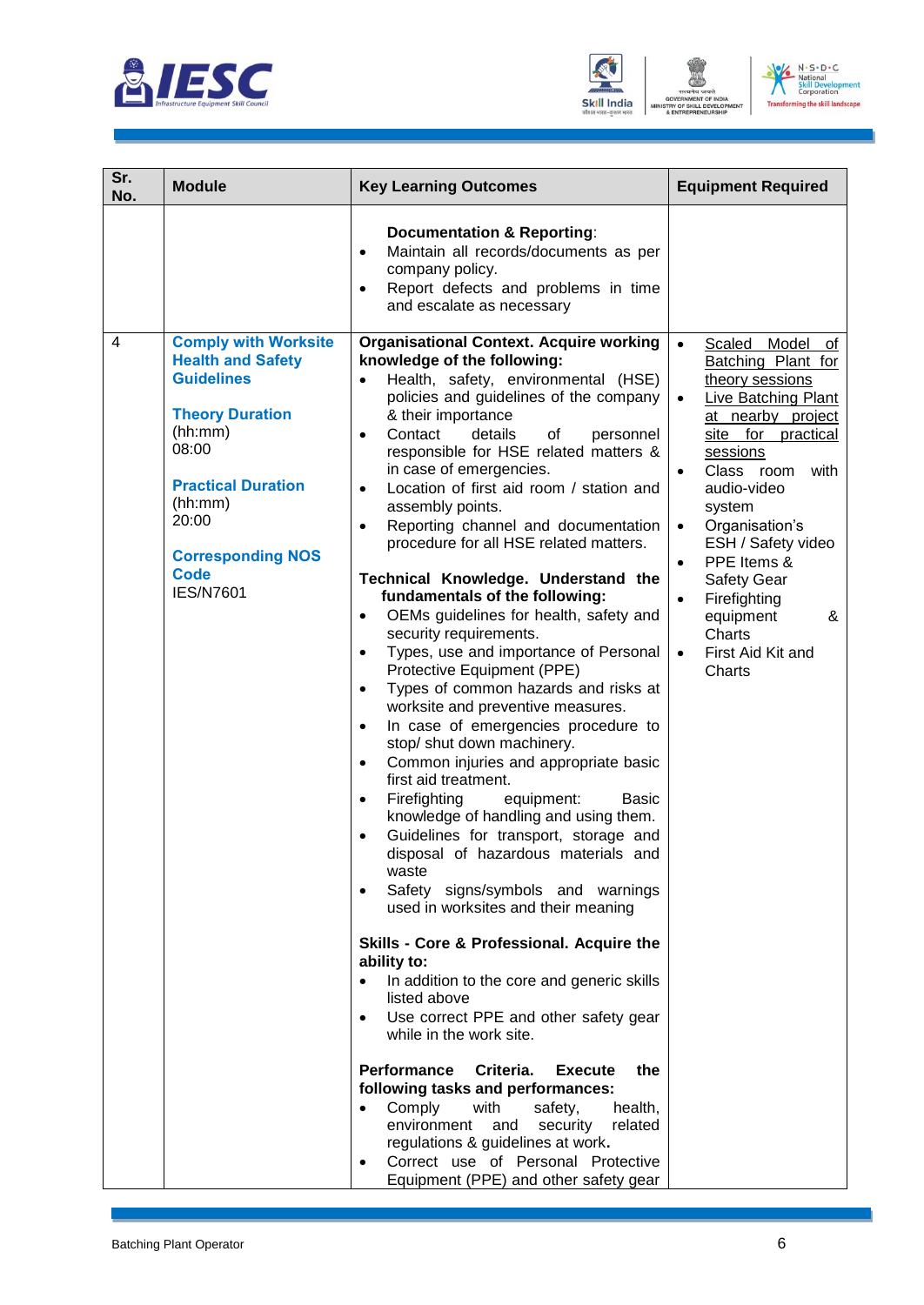





| Sr.<br>No.     | <b>Module</b>                                                                                                                                                                                                                              | <b>Key Learning Outcomes</b>                                                                                                                                                                                                                                                                                                                                                                                                                                                                                                                                                                                                                                                                                                                                                                                                                                                                                                                                                                                                                                                                                                                                                                                                                                                                                                                                                                                                                                                                                                                                                                                                                                                                                                                                                                                                                | <b>Equipment Required</b>                                                                                                                                                                                                                                                                                                                                                                                                               |
|----------------|--------------------------------------------------------------------------------------------------------------------------------------------------------------------------------------------------------------------------------------------|---------------------------------------------------------------------------------------------------------------------------------------------------------------------------------------------------------------------------------------------------------------------------------------------------------------------------------------------------------------------------------------------------------------------------------------------------------------------------------------------------------------------------------------------------------------------------------------------------------------------------------------------------------------------------------------------------------------------------------------------------------------------------------------------------------------------------------------------------------------------------------------------------------------------------------------------------------------------------------------------------------------------------------------------------------------------------------------------------------------------------------------------------------------------------------------------------------------------------------------------------------------------------------------------------------------------------------------------------------------------------------------------------------------------------------------------------------------------------------------------------------------------------------------------------------------------------------------------------------------------------------------------------------------------------------------------------------------------------------------------------------------------------------------------------------------------------------------------|-----------------------------------------------------------------------------------------------------------------------------------------------------------------------------------------------------------------------------------------------------------------------------------------------------------------------------------------------------------------------------------------------------------------------------------------|
|                |                                                                                                                                                                                                                                            | <b>Documentation &amp; Reporting:</b><br>Maintain all records/documents as per<br>$\bullet$<br>company policy.<br>Report defects and problems in time<br>$\bullet$<br>and escalate as necessary                                                                                                                                                                                                                                                                                                                                                                                                                                                                                                                                                                                                                                                                                                                                                                                                                                                                                                                                                                                                                                                                                                                                                                                                                                                                                                                                                                                                                                                                                                                                                                                                                                             |                                                                                                                                                                                                                                                                                                                                                                                                                                         |
| $\overline{4}$ | <b>Comply with Worksite</b><br><b>Health and Safety</b><br><b>Guidelines</b><br><b>Theory Duration</b><br>(hh:mm)<br>08:00<br><b>Practical Duration</b><br>(hh:mm)<br>20:00<br><b>Corresponding NOS</b><br><b>Code</b><br><b>IES/N7601</b> | <b>Organisational Context. Acquire working</b><br>knowledge of the following:<br>Health, safety, environmental (HSE)<br>policies and guidelines of the company<br>& their importance<br>Contact<br>details<br>οf<br>personnel<br>$\bullet$<br>responsible for HSE related matters &<br>in case of emergencies.<br>Location of first aid room / station and<br>$\bullet$<br>assembly points.<br>Reporting channel and documentation<br>$\bullet$<br>procedure for all HSE related matters.<br>Technical Knowledge. Understand the<br>fundamentals of the following:<br>OEMs guidelines for health, safety and<br>$\bullet$<br>security requirements.<br>Types, use and importance of Personal<br>$\bullet$<br>Protective Equipment (PPE)<br>Types of common hazards and risks at<br>$\bullet$<br>worksite and preventive measures.<br>In case of emergencies procedure to<br>$\bullet$<br>stop/ shut down machinery.<br>Common injuries and appropriate basic<br>$\bullet$<br>first aid treatment.<br>Firefighting<br>equipment:<br><b>Basic</b><br>$\bullet$<br>knowledge of handling and using them.<br>Guidelines for transport, storage and<br>٠<br>disposal of hazardous materials and<br>waste<br>Safety signs/symbols and warnings<br>$\bullet$<br>used in worksites and their meaning<br>Skills - Core & Professional. Acquire the<br>ability to:<br>In addition to the core and generic skills<br>$\bullet$<br>listed above<br>Use correct PPE and other safety gear<br>$\bullet$<br>while in the work site.<br><b>Performance</b><br>Criteria.<br><b>Execute</b><br>the<br>following tasks and performances:<br>Comply<br>with<br>safety,<br>health,<br>$\bullet$<br>environment<br>security<br>related<br>and<br>regulations & guidelines at work.<br>Correct use of Personal Protective<br>Equipment (PPE) and other safety gear | $\bullet$<br>Scaled<br>Model<br>of<br>Batching Plant for<br>theory sessions<br>Live Batching Plant<br>$\bullet$<br>at nearby project<br>site for practical<br>sessions<br>Class room<br>with<br>$\bullet$<br>audio-video<br>system<br>Organisation's<br>$\bullet$<br>ESH / Safety video<br>PPE Items &<br>$\bullet$<br>Safety Gear<br>Firefighting<br>$\bullet$<br>equipment<br>&<br>Charts<br>First Aid Kit and<br>$\bullet$<br>Charts |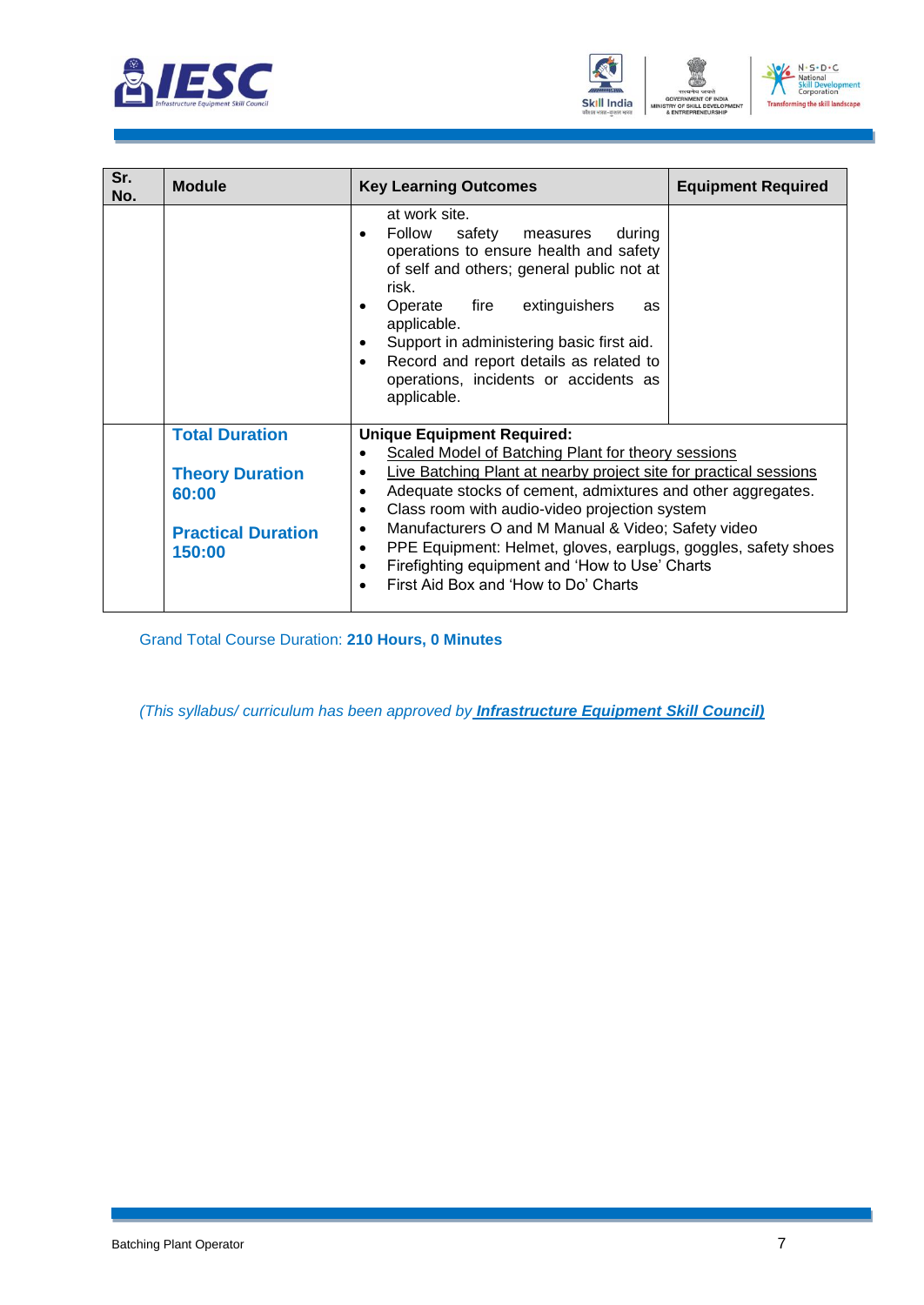





| Sr.<br>No. | <b>Module</b>                                                                                   | <b>Key Learning Outcomes</b>                                                                                                                                                                                                                                                                                                                                                                                                                                                                                                                                                                           | <b>Equipment Required</b> |
|------------|-------------------------------------------------------------------------------------------------|--------------------------------------------------------------------------------------------------------------------------------------------------------------------------------------------------------------------------------------------------------------------------------------------------------------------------------------------------------------------------------------------------------------------------------------------------------------------------------------------------------------------------------------------------------------------------------------------------------|---------------------------|
|            |                                                                                                 | at work site.<br>Follow<br>safety<br>measures<br>during<br>$\bullet$<br>operations to ensure health and safety<br>of self and others; general public not at<br>risk.<br>extinguishers<br>Operate<br>fire<br>as<br>applicable.<br>Support in administering basic first aid.<br>$\bullet$<br>Record and report details as related to<br>$\bullet$<br>operations, incidents or accidents as<br>applicable.                                                                                                                                                                                                |                           |
|            | <b>Total Duration</b><br><b>Theory Duration</b><br>60:00<br><b>Practical Duration</b><br>150:00 | <b>Unique Equipment Required:</b><br>Scaled Model of Batching Plant for theory sessions<br>$\bullet$<br>Live Batching Plant at nearby project site for practical sessions<br>$\bullet$<br>Adequate stocks of cement, admixtures and other aggregates.<br>$\bullet$<br>Class room with audio-video projection system<br>$\bullet$<br>Manufacturers O and M Manual & Video; Safety video<br>$\bullet$<br>PPE Equipment: Helmet, gloves, earplugs, goggles, safety shoes<br>$\bullet$<br>Firefighting equipment and 'How to Use' Charts<br>$\bullet$<br>First Aid Box and 'How to Do' Charts<br>$\bullet$ |                           |

Grand Total Course Duration: **210 Hours, 0 Minutes**

*(This syllabus/ curriculum has been approved by Infrastructure Equipment Skill Council)*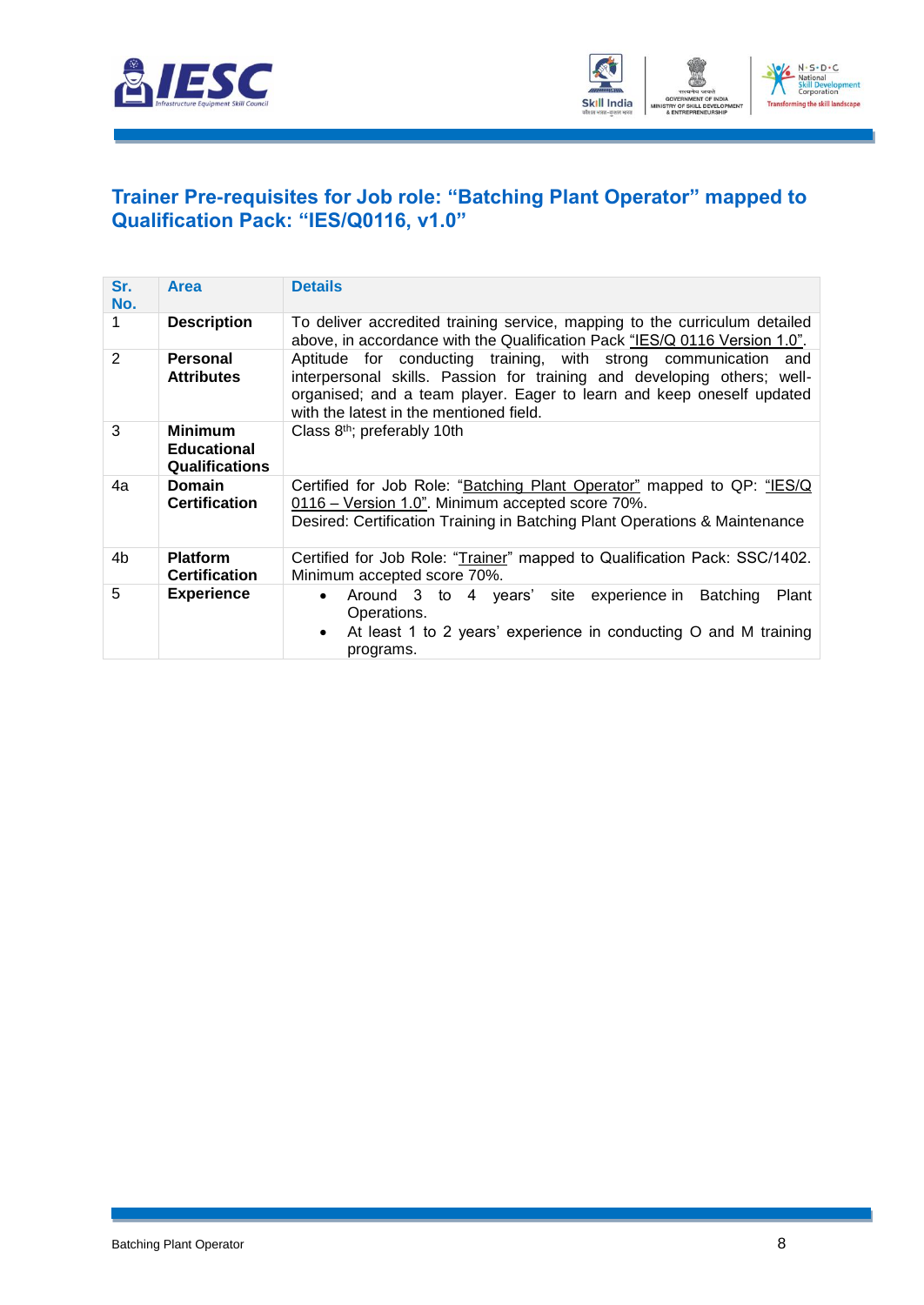



#### <span id="page-10-0"></span>**[Trainer Pre-requisites for Job role: "Batching Plant](#page-2-1) Operator" mapped to [Qualification Pack: "IES/Q0116, v1.0"](#page-2-1)**

| Sr.<br>No.     | <b>Area</b>                                                   | <b>Details</b>                                                                                                                                                                                                                                                 |
|----------------|---------------------------------------------------------------|----------------------------------------------------------------------------------------------------------------------------------------------------------------------------------------------------------------------------------------------------------------|
|                | <b>Description</b>                                            | To deliver accredited training service, mapping to the curriculum detailed<br>above, in accordance with the Qualification Pack "IES/Q 0116 Version 1.0".                                                                                                       |
| $\overline{2}$ | Personal<br><b>Attributes</b>                                 | Aptitude for conducting training, with strong communication and<br>interpersonal skills. Passion for training and developing others; well-<br>organised; and a team player. Eager to learn and keep oneself updated<br>with the latest in the mentioned field. |
| 3              | <b>Minimum</b><br><b>Educational</b><br><b>Qualifications</b> | Class 8 <sup>th</sup> ; preferably 10th                                                                                                                                                                                                                        |
| 4a             | <b>Domain</b><br><b>Certification</b>                         | Certified for Job Role: "Batching Plant Operator" mapped to QP: "IES/Q<br>0116 - Version 1.0". Minimum accepted score 70%.<br>Desired: Certification Training in Batching Plant Operations & Maintenance                                                       |
| 4b             | <b>Platform</b><br><b>Certification</b>                       | Certified for Job Role: "Trainer" mapped to Qualification Pack: SSC/1402.<br>Minimum accepted score 70%.                                                                                                                                                       |
| 5              | <b>Experience</b>                                             | Around 3 to 4 years' site experience in Batching<br>Plant<br>$\bullet$<br>Operations.<br>At least 1 to 2 years' experience in conducting O and M training<br>$\bullet$<br>programs.                                                                            |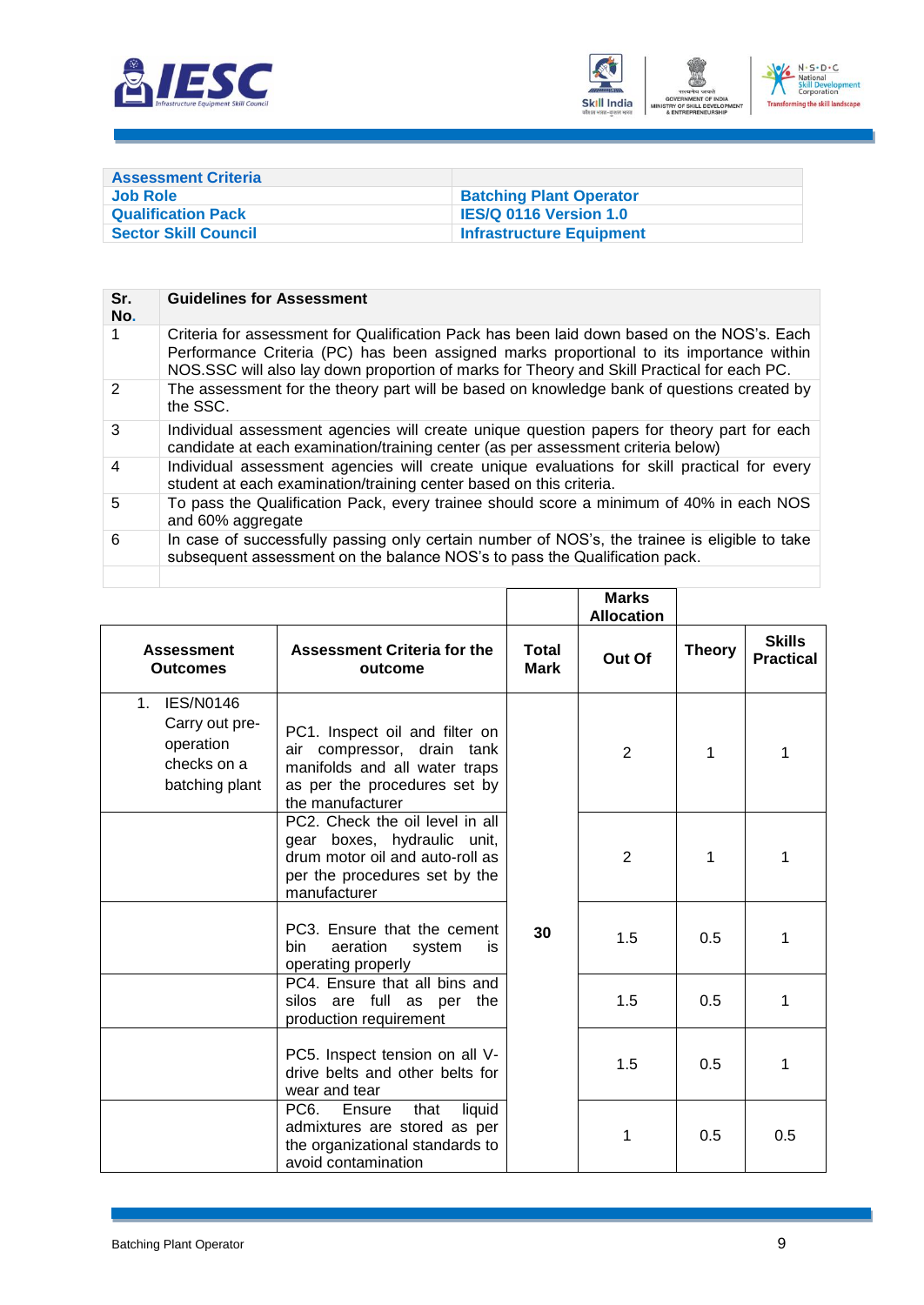



<span id="page-11-0"></span>

| <b>Assessment Criteria</b>  |                                 |
|-----------------------------|---------------------------------|
| Job Role                    | <b>Batching Plant Operator</b>  |
| <b>Qualification Pack</b>   | <b>IES/Q 0116 Version 1.0</b>   |
| <b>Sector Skill Council</b> | <b>Infrastructure Equipment</b> |

| Sr.<br>No.     | <b>Guidelines for Assessment</b>                                                                                                                                                                                                                                                    |
|----------------|-------------------------------------------------------------------------------------------------------------------------------------------------------------------------------------------------------------------------------------------------------------------------------------|
|                | Criteria for assessment for Qualification Pack has been laid down based on the NOS's. Each<br>Performance Criteria (PC) has been assigned marks proportional to its importance within<br>NOS.SSC will also lay down proportion of marks for Theory and Skill Practical for each PC. |
| $\mathcal{P}$  | The assessment for the theory part will be based on knowledge bank of questions created by<br>the SSC.                                                                                                                                                                              |
| 3              | Individual assessment agencies will create unique question papers for theory part for each<br>candidate at each examination/training center (as per assessment criteria below)                                                                                                      |
| $\overline{4}$ | Individual assessment agencies will create unique evaluations for skill practical for every<br>student at each examination/training center based on this criteria.                                                                                                                  |
| 5              | To pass the Qualification Pack, every trainee should score a minimum of 40% in each NOS<br>and 60% aggregate                                                                                                                                                                        |
| 6              | In case of successfully passing only certain number of NOS's, the trainee is eligible to take<br>subsequent assessment on the balance NOS's to pass the Qualification pack.                                                                                                         |
|                |                                                                                                                                                                                                                                                                                     |

|                                                                                                    |                                                                                                                                                      |                      | <b>Marks</b><br><b>Allocation</b> |               |                                   |
|----------------------------------------------------------------------------------------------------|------------------------------------------------------------------------------------------------------------------------------------------------------|----------------------|-----------------------------------|---------------|-----------------------------------|
| <b>Assessment</b><br><b>Outcomes</b>                                                               | <b>Assessment Criteria for the</b><br>outcome                                                                                                        | Total<br><b>Mark</b> | Out Of                            | <b>Theory</b> | <b>Skills</b><br><b>Practical</b> |
| <b>IES/N0146</b><br>1 <sub>1</sub><br>Carry out pre-<br>operation<br>checks on a<br>batching plant | PC1. Inspect oil and filter on<br>compressor, drain tank<br>air<br>manifolds and all water traps<br>as per the procedures set by<br>the manufacturer |                      | $\overline{2}$                    | 1             | 1                                 |
|                                                                                                    | PC2. Check the oil level in all<br>gear boxes, hydraulic unit,<br>drum motor oil and auto-roll as<br>per the procedures set by the<br>manufacturer   |                      | $\overline{2}$                    | 1             | 1                                 |
|                                                                                                    | PC3. Ensure that the cement<br>aeration<br>bin.<br>system<br>is<br>operating properly                                                                | 30                   | 1.5                               | 0.5           | 1                                 |
|                                                                                                    | PC4. Ensure that all bins and<br>silos are full as per<br>the<br>production requirement                                                              |                      | 1.5                               | 0.5           | 1                                 |
|                                                                                                    | PC5. Inspect tension on all V-<br>drive belts and other belts for<br>wear and tear                                                                   |                      | 1.5                               | 0.5           | 1                                 |
|                                                                                                    | PC <sub>6</sub><br>Ensure<br>that<br>liquid<br>admixtures are stored as per<br>the organizational standards to<br>avoid contamination                |                      | 1                                 | 0.5           | 0.5                               |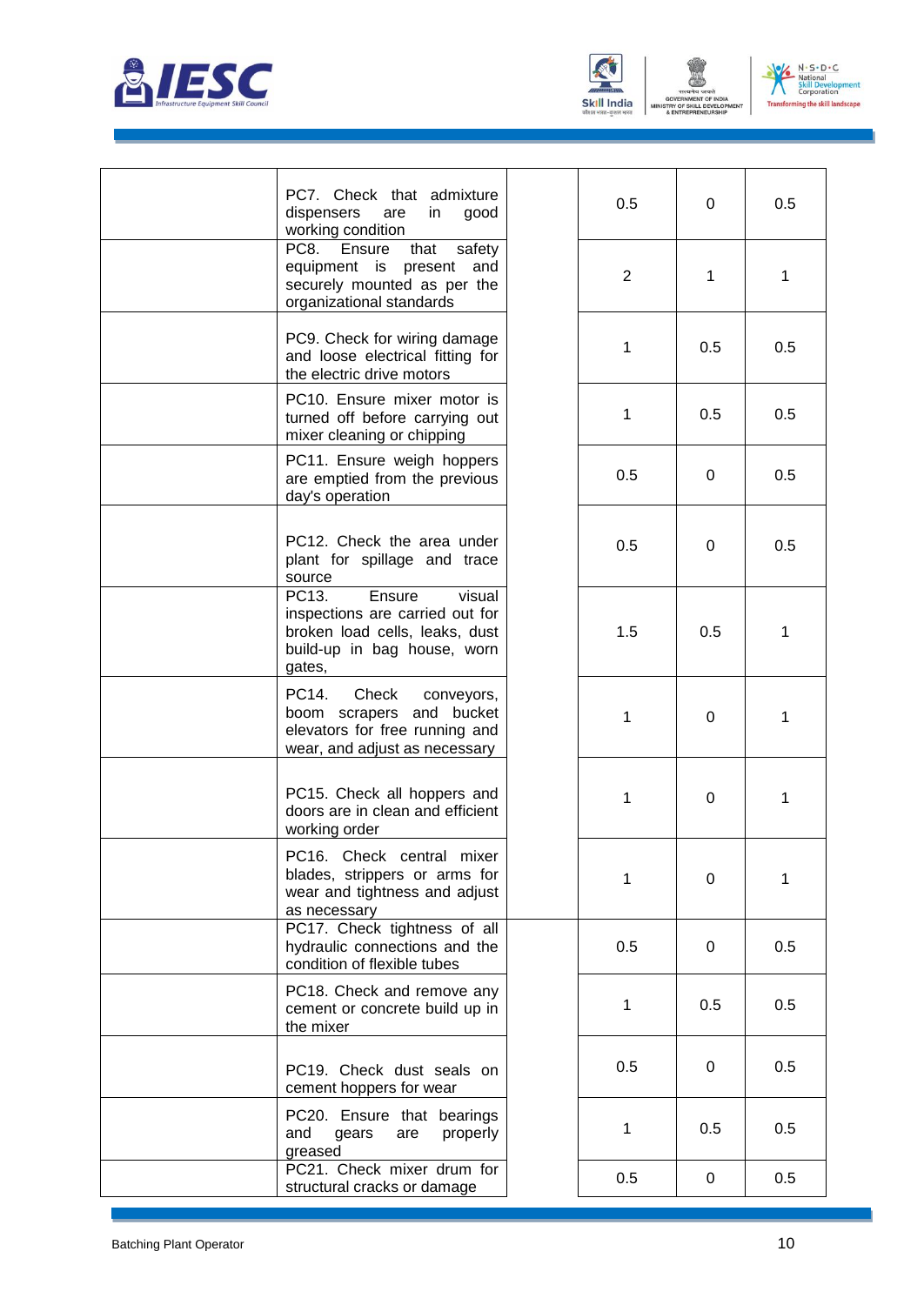





| PC7. Check that admixture<br>dispensers<br>are<br>in<br>good<br>working condition                                                       | 0.5            | 0   | 0.5 |
|-----------------------------------------------------------------------------------------------------------------------------------------|----------------|-----|-----|
| PC8.<br>Ensure<br>that<br>safety<br>equipment is present and<br>securely mounted as per the<br>organizational standards                 | $\overline{2}$ | 1   | 1   |
| PC9. Check for wiring damage<br>and loose electrical fitting for<br>the electric drive motors                                           | 1              | 0.5 | 0.5 |
| PC10. Ensure mixer motor is<br>turned off before carrying out<br>mixer cleaning or chipping                                             | 1              | 0.5 | 0.5 |
| PC11. Ensure weigh hoppers<br>are emptied from the previous<br>day's operation                                                          | 0.5            | 0   | 0.5 |
| PC12. Check the area under<br>plant for spillage and trace<br>source                                                                    | 0.5            | 0   | 0.5 |
| Ensure<br>PC13.<br>visual<br>inspections are carried out for<br>broken load cells, leaks, dust<br>build-up in bag house, worn<br>gates, | 1.5            | 0.5 | 1   |
| PC14.<br>Check<br>conveyors,<br>boom scrapers and bucket<br>elevators for free running and<br>wear, and adjust as necessary             | 1              | 0   | 1   |
| PC15. Check all hoppers and<br>doors are in clean and efficient<br>working order                                                        | 1              | 0   | 1   |
| PC16. Check central mixer<br>blades, strippers or arms for<br>wear and tightness and adjust<br>as necessary                             | 1              | 0   | 1   |
| PC17. Check tightness of all<br>hydraulic connections and the<br>condition of flexible tubes                                            | 0.5            | 0   | 0.5 |
| PC18. Check and remove any<br>cement or concrete build up in<br>the mixer                                                               | 1              | 0.5 | 0.5 |
| PC19. Check dust seals on<br>cement hoppers for wear                                                                                    | 0.5            | 0   | 0.5 |
| PC20. Ensure that bearings<br>properly<br>and<br>gears<br>are<br>greased                                                                | 1              | 0.5 | 0.5 |
| PC21. Check mixer drum for<br>structural cracks or damage                                                                               | 0.5            | 0   | 0.5 |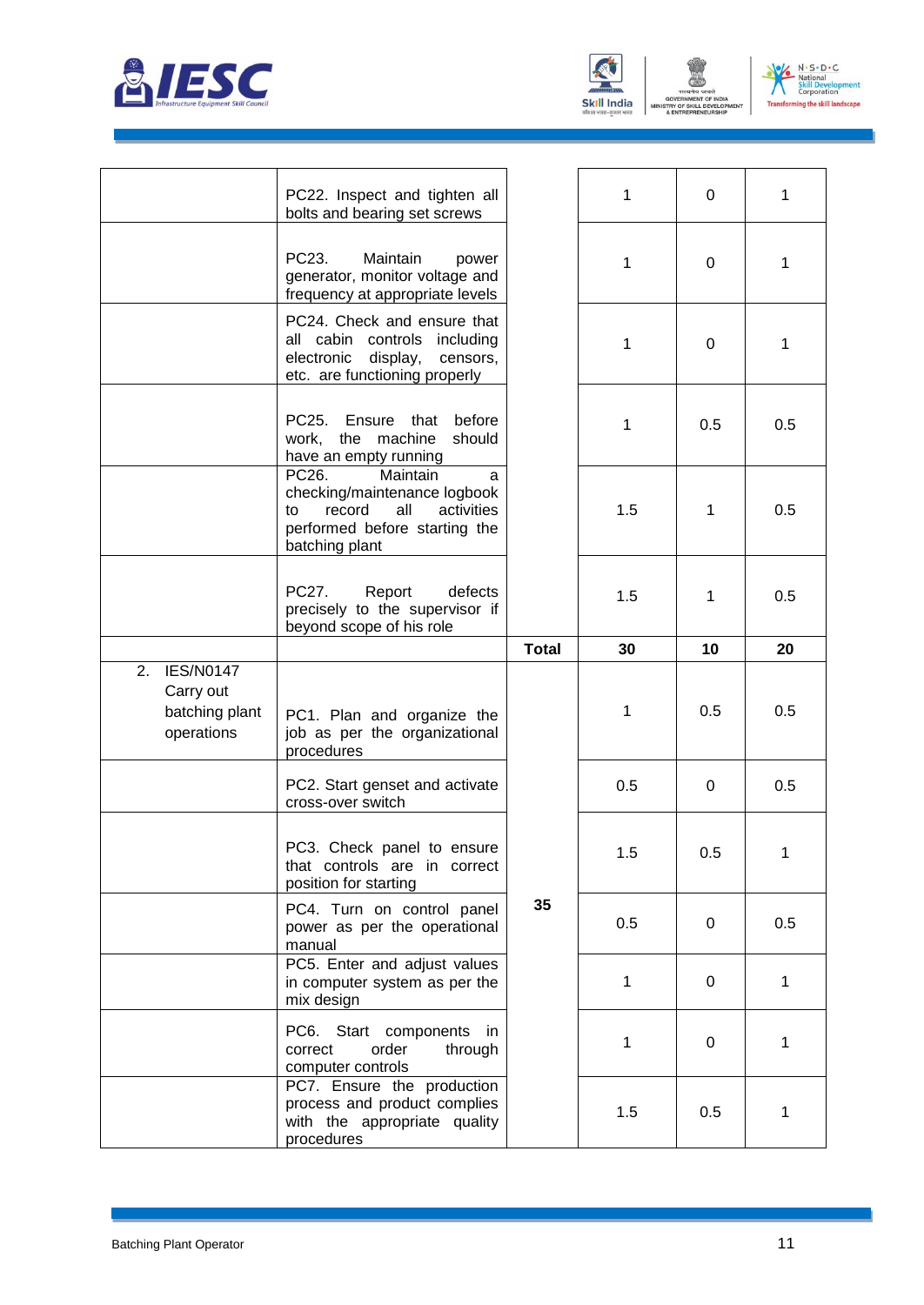



NT OF



|                                                                     | PC22. Inspect and tighten all<br>bolts and bearing set screws                                                                                  |              | 1   | 0   | 1   |
|---------------------------------------------------------------------|------------------------------------------------------------------------------------------------------------------------------------------------|--------------|-----|-----|-----|
|                                                                     | PC23.<br>Maintain<br>power<br>generator, monitor voltage and<br>frequency at appropriate levels                                                |              | 1   | 0   | 1   |
|                                                                     | PC24. Check and ensure that<br>all cabin controls including<br>electronic<br>display,<br>censors,<br>etc. are functioning properly             |              | 1   | 0   | 1   |
|                                                                     | PC25.<br>Ensure<br>before<br>that<br>machine<br>the<br>should<br>work,<br>have an empty running                                                |              | 1   | 0.5 | 0.5 |
|                                                                     | PC26.<br>Maintain<br>a<br>checking/maintenance logbook<br>record<br>all<br>activities<br>to<br>performed before starting the<br>batching plant |              | 1.5 | 1   | 0.5 |
|                                                                     | PC27.<br>Report<br>defects<br>precisely to the supervisor if<br>beyond scope of his role                                                       |              | 1.5 | 1   | 0.5 |
|                                                                     |                                                                                                                                                | <b>Total</b> | 30  | 10  | 20  |
| <b>IES/N0147</b><br>2.<br>Carry out<br>batching plant<br>operations | PC1. Plan and organize the<br>job as per the organizational<br>procedures                                                                      |              | 1   | 0.5 | 0.5 |
|                                                                     | PC2. Start genset and activate<br>cross-over switch                                                                                            |              | 0.5 | 0   | 0.5 |
|                                                                     | PC3. Check panel to ensure<br>that controls are in correct<br>position for starting                                                            |              | 1.5 | 0.5 | 1   |
|                                                                     | PC4. Turn on control panel<br>power as per the operational<br>manual                                                                           | 35           | 0.5 | 0   | 0.5 |
|                                                                     | PC5. Enter and adjust values<br>in computer system as per the<br>mix design                                                                    |              | 1   | 0   | 1   |
|                                                                     | PC6. Start components<br>- in<br>order<br>correct<br>through<br>computer controls                                                              |              | 1   | 0   | 1   |
|                                                                     | PC7. Ensure the production<br>process and product complies<br>with the appropriate quality<br>procedures                                       |              | 1.5 | 0.5 | 1   |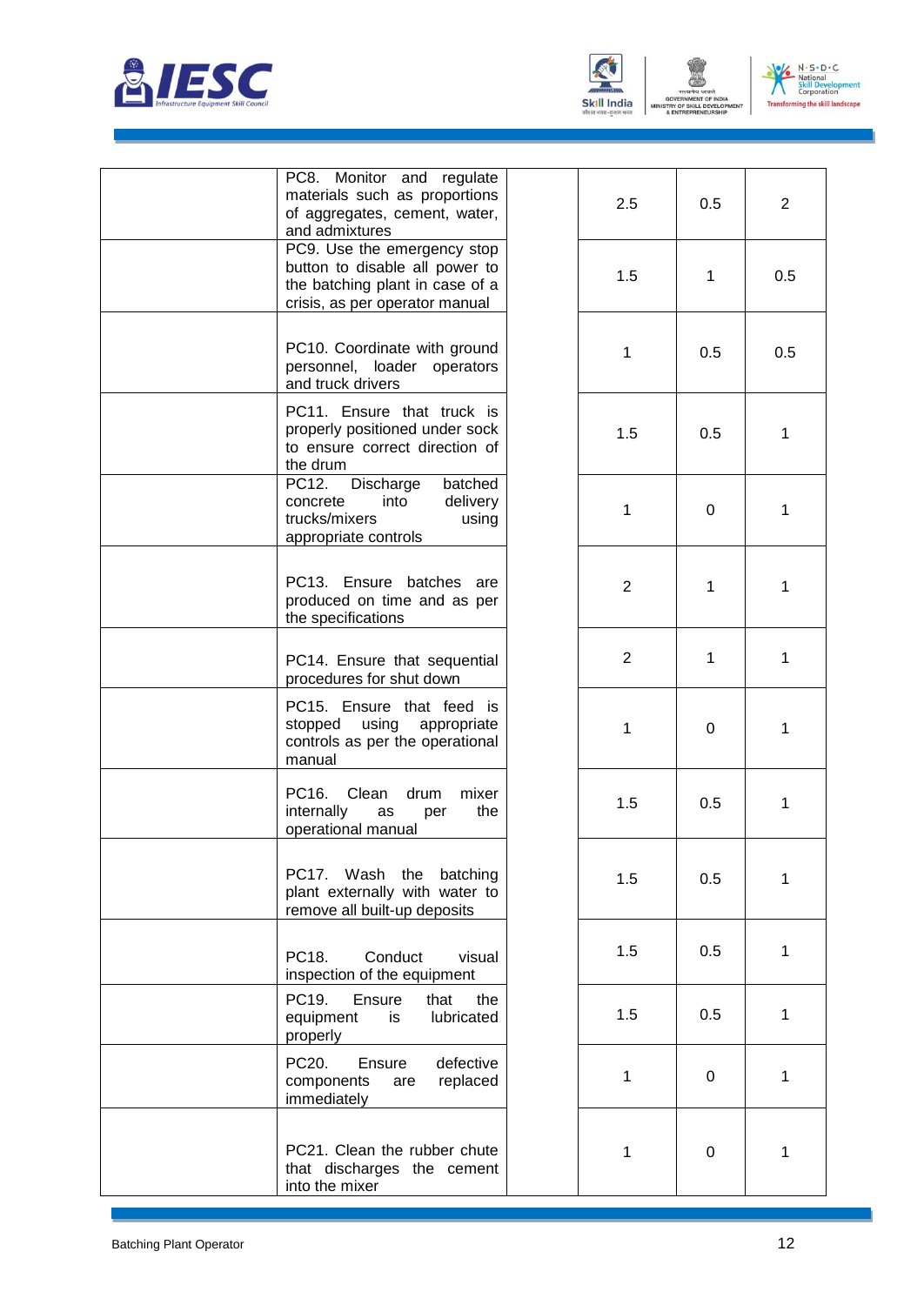





| PC8. Monitor and regulate<br>materials such as proportions<br>of aggregates, cement, water,<br>and admixtures                      | 2.5            | 0.5              | $\overline{2}$ |
|------------------------------------------------------------------------------------------------------------------------------------|----------------|------------------|----------------|
| PC9. Use the emergency stop<br>button to disable all power to<br>the batching plant in case of a<br>crisis, as per operator manual | 1.5            | 1                | 0.5            |
| PC10. Coordinate with ground<br>personnel, loader operators<br>and truck drivers                                                   | 1              | 0.5              | 0.5            |
| PC11. Ensure that truck is<br>properly positioned under sock<br>to ensure correct direction of<br>the drum                         | 1.5            | 0.5              | 1              |
| PC12.<br>Discharge<br>batched<br>into<br>delivery<br>concrete<br>trucks/mixers<br>using<br>appropriate controls                    | $\mathbf{1}$   | 0                | 1              |
| PC13. Ensure batches are<br>produced on time and as per<br>the specifications                                                      | $\overline{2}$ | 1                | 1              |
| PC14. Ensure that sequential<br>procedures for shut down                                                                           | $\overline{2}$ | 1                | 1              |
| PC15. Ensure that feed is<br>using<br>stopped<br>appropriate<br>controls as per the operational<br>manual                          | 1              | 0                | 1              |
| Clean<br>PC16.<br>drum<br>mixer<br>internally<br>the<br>as<br>per<br>operational manual                                            | 1.5            | 0.5              | 1              |
| PC17. Wash the<br>batching<br>plant externally with water to<br>remove all built-up deposits                                       | 1.5            | 0.5              | 1              |
| Conduct<br>PC18.<br>visual<br>inspection of the equipment                                                                          | 1.5            | 0.5              | 1              |
| PC19.<br>Ensure<br>that<br>the<br>lubricated<br>equipment<br>is<br>properly                                                        | 1.5            | 0.5              | 1              |
| PC20.<br>defective<br>Ensure<br>replaced<br>components<br>are<br>immediately                                                       | $\mathbf{1}$   | 0                | 1              |
| PC21. Clean the rubber chute<br>that discharges the cement<br>into the mixer                                                       | 1              | $\boldsymbol{0}$ | 1              |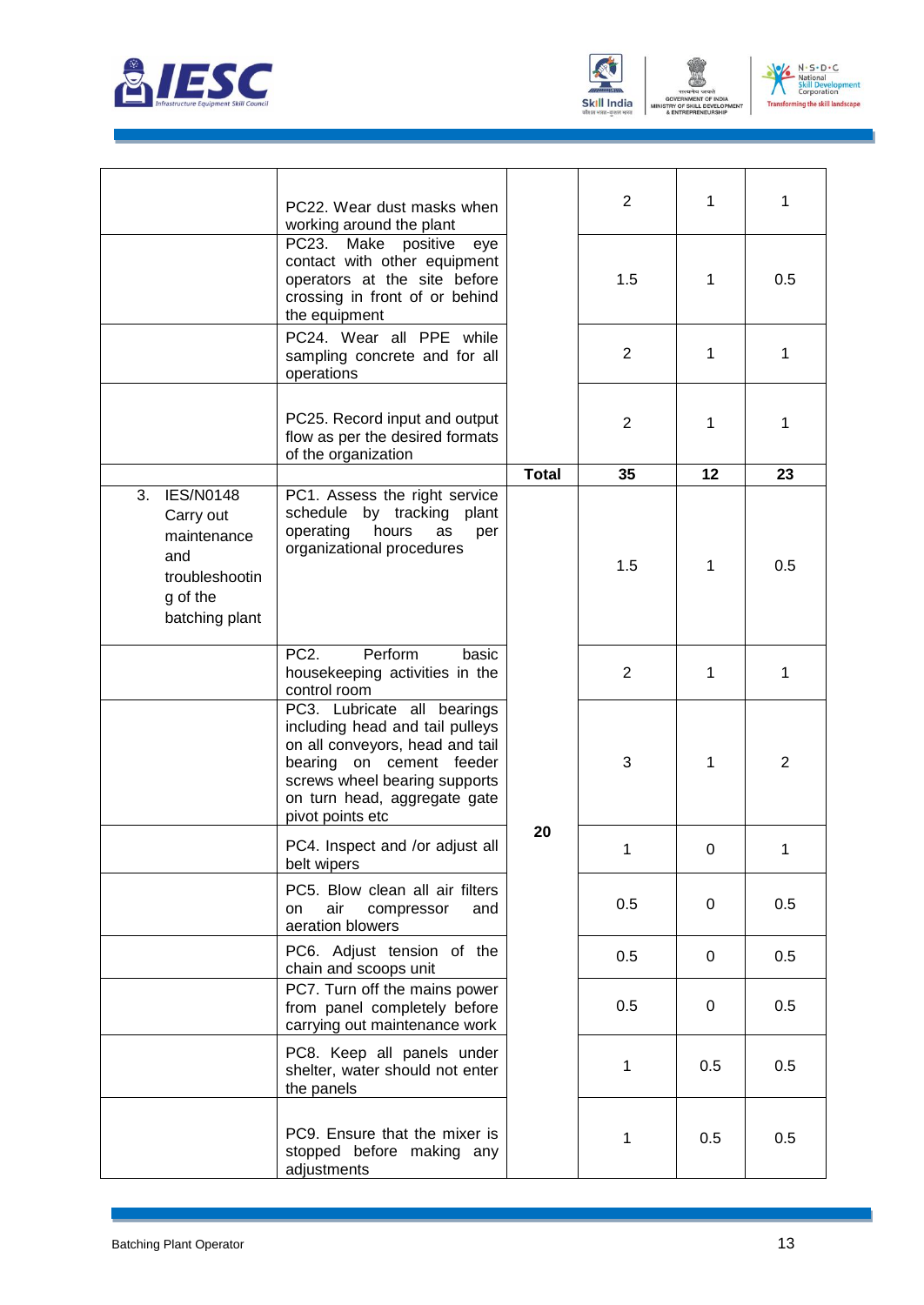





|                                                                                                           | PC22. Wear dust masks when<br>working around the plant                                                                                                                                                             |              | $\overline{2}$ | 1   | 1              |
|-----------------------------------------------------------------------------------------------------------|--------------------------------------------------------------------------------------------------------------------------------------------------------------------------------------------------------------------|--------------|----------------|-----|----------------|
|                                                                                                           | PC23.<br>Make<br>positive<br>eye<br>contact with other equipment<br>operators at the site before<br>crossing in front of or behind<br>the equipment                                                                |              | 1.5            | 1   | 0.5            |
|                                                                                                           | PC24. Wear all PPE while<br>sampling concrete and for all<br>operations                                                                                                                                            |              | $\overline{2}$ | 1   | 1              |
|                                                                                                           | PC25. Record input and output<br>flow as per the desired formats<br>of the organization                                                                                                                            |              | 2              | 1   | 1              |
|                                                                                                           |                                                                                                                                                                                                                    | <b>Total</b> | 35             | 12  | 23             |
| 3.<br><b>IES/N0148</b><br>Carry out<br>maintenance<br>and<br>troubleshootin<br>g of the<br>batching plant | PC1. Assess the right service<br>by tracking plant<br>schedule<br>hours<br>operating<br>as<br>per<br>organizational procedures                                                                                     |              | 1.5            | 1   | 0.5            |
|                                                                                                           | Perform<br>PC <sub>2</sub> .<br>basic<br>housekeeping activities in the<br>control room                                                                                                                            |              | $\overline{2}$ | 1   | 1              |
|                                                                                                           | PC3. Lubricate all bearings<br>including head and tail pulleys<br>on all conveyors, head and tail<br>bearing on cement feeder<br>screws wheel bearing supports<br>on turn head, aggregate gate<br>pivot points etc |              | 3              | 1   | $\overline{2}$ |
|                                                                                                           | PC4. Inspect and /or adjust all<br>belt wipers                                                                                                                                                                     | 20           | 1              | 0   | 1              |
|                                                                                                           | PC5. Blow clean all air filters<br>air<br>and<br>on<br>compressor<br>aeration blowers                                                                                                                              |              | 0.5            | 0   | 0.5            |
|                                                                                                           | PC6. Adjust tension of the<br>chain and scoops unit                                                                                                                                                                |              | 0.5            | 0   | 0.5            |
|                                                                                                           | PC7. Turn off the mains power<br>from panel completely before<br>carrying out maintenance work                                                                                                                     |              | 0.5            | 0   | 0.5            |
|                                                                                                           | PC8. Keep all panels under<br>shelter, water should not enter<br>the panels                                                                                                                                        |              | 1              | 0.5 | 0.5            |
|                                                                                                           | PC9. Ensure that the mixer is<br>stopped before making any<br>adjustments                                                                                                                                          |              | 1              | 0.5 | 0.5            |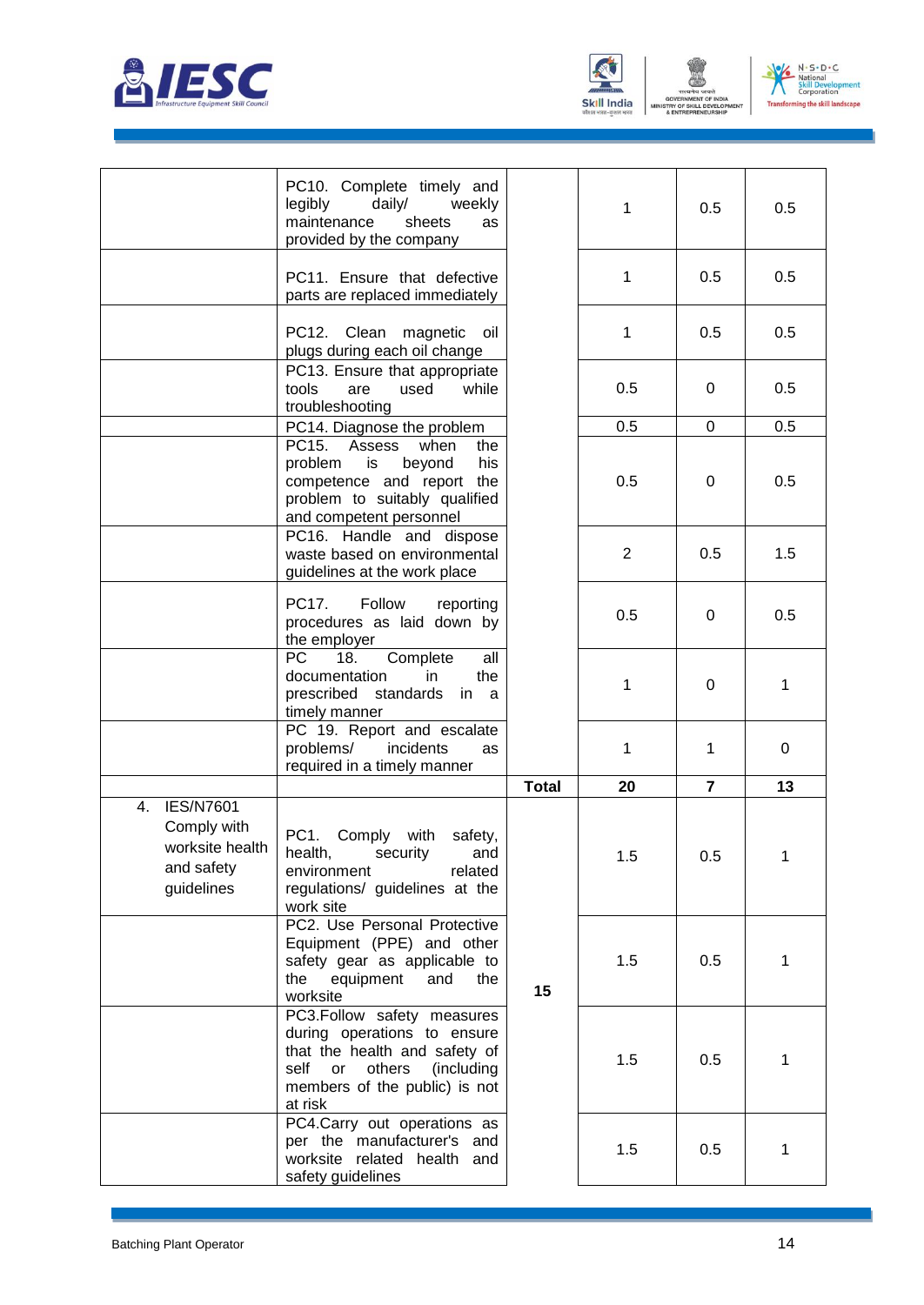





|                                                                                      | PC10. Complete timely and<br>daily/<br>legibly<br>weekly<br>maintenance<br>sheets<br>as<br>provided by the company                                                     |              | 1              | 0.5            | 0.5 |
|--------------------------------------------------------------------------------------|------------------------------------------------------------------------------------------------------------------------------------------------------------------------|--------------|----------------|----------------|-----|
|                                                                                      | PC11. Ensure that defective<br>parts are replaced immediately                                                                                                          |              | 1              | 0.5            | 0.5 |
|                                                                                      | PC12. Clean magnetic oil<br>plugs during each oil change                                                                                                               |              | 1              | 0.5            | 0.5 |
|                                                                                      | PC13. Ensure that appropriate<br>tools<br>are<br>used<br>while<br>troubleshooting                                                                                      |              | 0.5            | 0              | 0.5 |
|                                                                                      | PC14. Diagnose the problem                                                                                                                                             |              | 0.5            | $\Omega$       | 0.5 |
|                                                                                      | PC15. Assess<br>when<br>the<br>problem<br>is<br>beyond<br>his<br>competence and report the<br>problem to suitably qualified<br>and competent personnel                 |              | 0.5            | 0              | 0.5 |
|                                                                                      | PC16. Handle and dispose<br>waste based on environmental<br>guidelines at the work place                                                                               |              | $\overline{2}$ | 0.5            | 1.5 |
|                                                                                      | PC17.<br>Follow<br>reporting<br>procedures as laid down by<br>the employer                                                                                             |              | 0.5            | 0              | 0.5 |
|                                                                                      | PC  <br>18.<br>Complete<br>all<br>documentation<br>in.<br>the<br>prescribed standards<br>in a<br>timely manner                                                         |              | 1              | 0              | 1   |
|                                                                                      | PC 19. Report and escalate<br>problems/<br>incidents<br>as<br>required in a timely manner                                                                              |              | 1              | 1              | 0   |
|                                                                                      |                                                                                                                                                                        | <b>Total</b> | 20             | $\overline{7}$ | 13  |
| <b>IES/N7601</b><br>4.<br>Comply with<br>worksite health<br>and safety<br>guidelines | PC1. Comply with safety,<br>health, security<br>and<br>environment<br>related<br>regulations/ guidelines at the<br>work site                                           |              | 1.5            | 0.5            |     |
|                                                                                      | PC2. Use Personal Protective<br>Equipment (PPE) and other<br>safety gear as applicable to<br>the equipment<br>and<br>the<br>worksite                                   | 15           | 1.5            | 0.5            | 1   |
|                                                                                      | PC3.Follow safety measures<br>during operations to ensure<br>that the health and safety of<br>self or others<br>(including<br>members of the public) is not<br>at risk |              | 1.5            | 0.5            | 1   |
|                                                                                      | PC4.Carry out operations as<br>per the manufacturer's and<br>worksite related health and<br>safety guidelines                                                          |              | 1.5            | 0.5            | 1   |